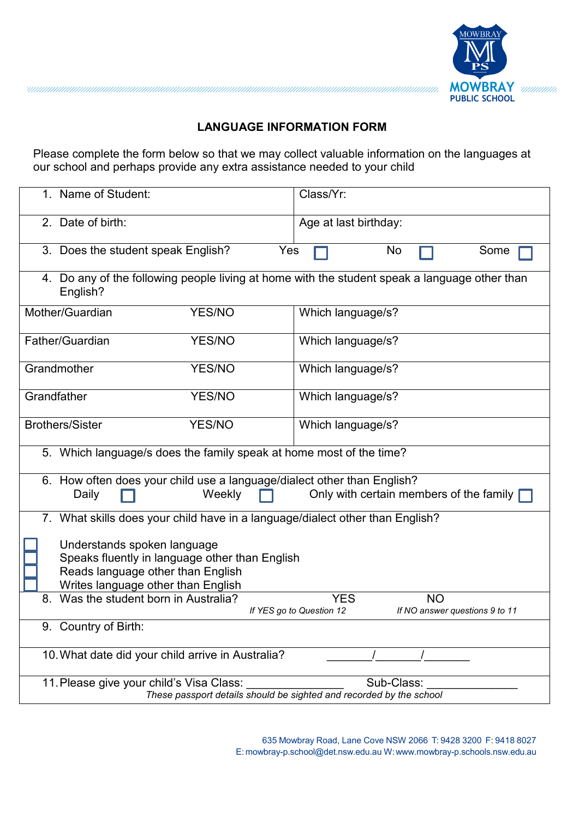

## **LANGUAGE INFORMATION FORM**

Please complete the form below so that we may collect valuable information on the languages at our school and perhaps provide any extra assistance needed to your child

| 1. Name of Student:                                                                                                                                      |               | Class/Yr:             |  |  |  |  |
|----------------------------------------------------------------------------------------------------------------------------------------------------------|---------------|-----------------------|--|--|--|--|
| 2. Date of birth:                                                                                                                                        |               | Age at last birthday: |  |  |  |  |
| 3. Does the student speak English?                                                                                                                       |               | Yes<br>No<br>Some     |  |  |  |  |
| 4. Do any of the following people living at home with the student speak a language other than<br>English?                                                |               |                       |  |  |  |  |
| Mother/Guardian                                                                                                                                          | <b>YES/NO</b> | Which language/s?     |  |  |  |  |
| Father/Guardian                                                                                                                                          | <b>YES/NO</b> | Which language/s?     |  |  |  |  |
| Grandmother                                                                                                                                              | <b>YES/NO</b> | Which language/s?     |  |  |  |  |
| Grandfather                                                                                                                                              | <b>YES/NO</b> | Which language/s?     |  |  |  |  |
| <b>Brothers/Sister</b>                                                                                                                                   | YES/NO        | Which language/s?     |  |  |  |  |
| 5. Which language/s does the family speak at home most of the time?                                                                                      |               |                       |  |  |  |  |
| 6. How often does your child use a language/dialect other than English?<br>Only with certain members of the family  <br>Weekly<br>Daily                  |               |                       |  |  |  |  |
| 7. What skills does your child have in a language/dialect other than English?                                                                            |               |                       |  |  |  |  |
| Understands spoken language<br>Speaks fluently in language other than English<br>Reads language other than English<br>Writes language other than English |               |                       |  |  |  |  |
| Was the student born in Australia?<br><b>NO</b><br><b>YES</b><br>8.<br>If YES go to Question 12<br>If NO answer questions 9 to 11                        |               |                       |  |  |  |  |
| 9. Country of Birth:                                                                                                                                     |               |                       |  |  |  |  |
| 10. What date did your child arrive in Australia?                                                                                                        |               |                       |  |  |  |  |
| 11. Please give your child's Visa Class:<br>Sub-Class:<br>These passport details should be sighted and recorded by the school                            |               |                       |  |  |  |  |